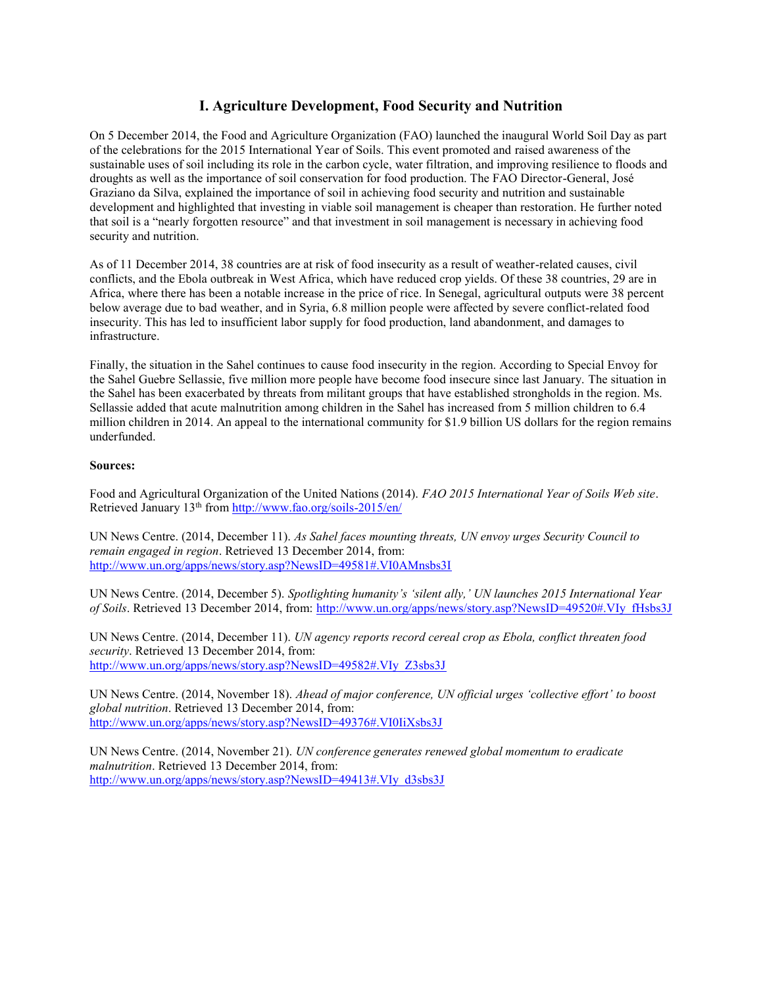## **I. Agriculture Development, Food Security and Nutrition**

On 5 December 2014, the Food and Agriculture Organization (FAO) launched the inaugural World Soil Day as part of the celebrations for the 2015 International Year of Soils. This event promoted and raised awareness of the sustainable uses of soil including its role in the carbon cycle, water filtration, and improving resilience to floods and droughts as well as the importance of soil conservation for food production. The FAO Director-General, José Graziano da Silva, explained the importance of soil in achieving food security and nutrition and sustainable development and highlighted that investing in viable soil management is cheaper than restoration. He further noted that soil is a "nearly forgotten resource" and that investment in soil management is necessary in achieving food security and nutrition.

As of 11 December 2014, 38 countries are at risk of food insecurity as a result of weather-related causes, civil conflicts, and the Ebola outbreak in West Africa, which have reduced crop yields. Of these 38 countries, 29 are in Africa, where there has been a notable increase in the price of rice. In Senegal, agricultural outputs were 38 percent below average due to bad weather, and in Syria, 6.8 million people were affected by severe conflict-related food insecurity. This has led to insufficient labor supply for food production, land abandonment, and damages to infrastructure.

Finally, the situation in the Sahel continues to cause food insecurity in the region. According to Special Envoy for the Sahel Guebre Sellassie, five million more people have become food insecure since last January. The situation in the Sahel has been exacerbated by threats from militant groups that have established strongholds in the region. Ms. Sellassie added that acute malnutrition among children in the Sahel has increased from 5 million children to 6.4 million children in 2014. An appeal to the international community for \$1.9 billion US dollars for the region remains underfunded.

## **Sources:**

Food and Agricultural Organization of the United Nations (2014). *FAO 2015 International Year of Soils Web site*. Retrieved January 13th fro[m http://www.fao.org/soils-2015/en/](http://www.fao.org/soils-2015/en/)

UN News Centre. (2014, December 11). *As Sahel faces mounting threats, UN envoy urges Security Council to remain engaged in region*. Retrieved 13 December 2014, from: <http://www.un.org/apps/news/story.asp?NewsID=49581#.VI0AMnsbs3I>

UN News Centre. (2014, December 5). *Spotlighting humanity's 'silent ally,' UN launches 2015 International Year of Soils*. Retrieved 13 December 2014, from: [http://www.un.org/apps/news/story.asp?NewsID=49520#.VIy\\_fHsbs3J](http://www.un.org/apps/news/story.asp?NewsID=49520#.VIy_fHsbs3J)

UN News Centre. (2014, December 11). *UN agency reports record cereal crop as Ebola, conflict threaten food security*. Retrieved 13 December 2014, from: [http://www.un.org/apps/news/story.asp?NewsID=49582#.VIy\\_Z3sbs3J](http://www.un.org/apps/news/story.asp?NewsID=49582#.VIy_Z3sbs3J)

UN News Centre. (2014, November 18). *Ahead of major conference, UN official urges 'collective effort' to boost global nutrition*. Retrieved 13 December 2014, from: <http://www.un.org/apps/news/story.asp?NewsID=49376#.VI0IiXsbs3J>

UN News Centre. (2014, November 21). *UN conference generates renewed global momentum to eradicate malnutrition*. Retrieved 13 December 2014, from: [http://www.un.org/apps/news/story.asp?NewsID=49413#.VIy\\_d3sbs3J](http://www.un.org/apps/news/story.asp?NewsID=49413#.VIy_d3sbs3J)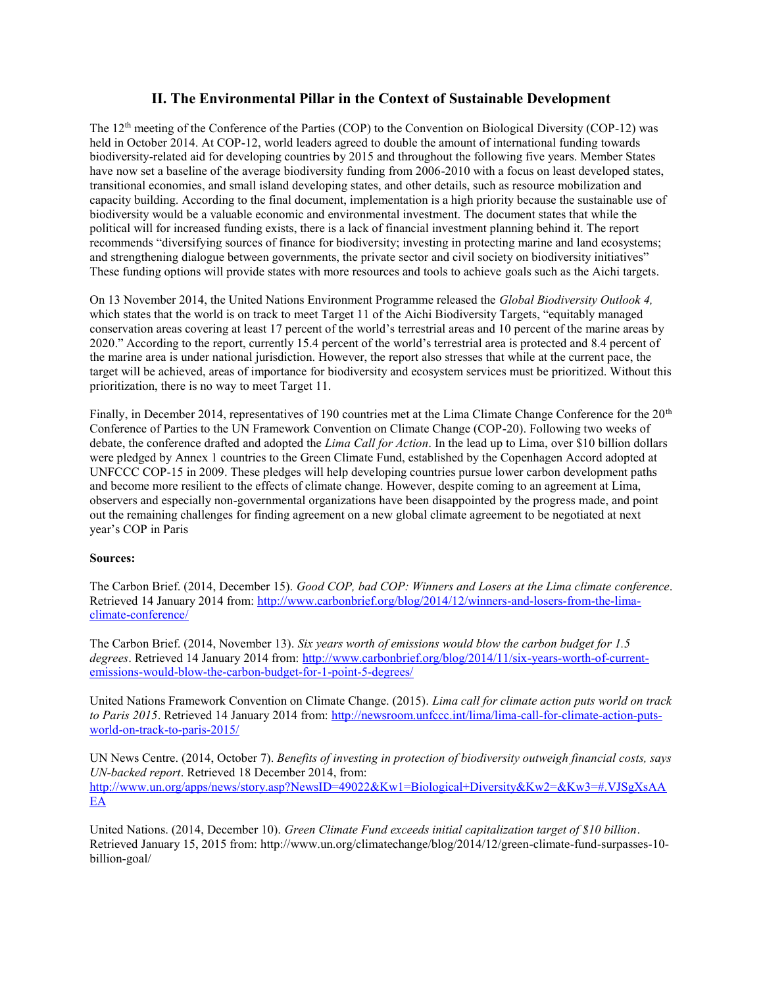## **II. The Environmental Pillar in the Context of Sustainable Development**

The 12th meeting of the Conference of the Parties (COP) to the Convention on Biological Diversity (COP-12) was held in October 2014. At COP-12, world leaders agreed to double the amount of international funding towards biodiversity-related aid for developing countries by 2015 and throughout the following five years. Member States have now set a baseline of the average biodiversity funding from 2006-2010 with a focus on least developed states, transitional economies, and small island developing states, and other details, such as resource mobilization and capacity building. According to the final document, implementation is a high priority because the sustainable use of biodiversity would be a valuable economic and environmental investment. The document states that while the political will for increased funding exists, there is a lack of financial investment planning behind it. The report recommends "diversifying sources of finance for biodiversity; investing in protecting marine and land ecosystems; and strengthening dialogue between governments, the private sector and civil society on biodiversity initiatives" These funding options will provide states with more resources and tools to achieve goals such as the Aichi targets.

On 13 November 2014, the United Nations Environment Programme released the *Global Biodiversity Outlook 4,*  which states that the world is on track to meet Target 11 of the Aichi Biodiversity Targets, "equitably managed conservation areas covering at least 17 percent of the world's terrestrial areas and 10 percent of the marine areas by 2020." According to the report, currently 15.4 percent of the world's terrestrial area is protected and 8.4 percent of the marine area is under national jurisdiction. However, the report also stresses that while at the current pace, the target will be achieved, areas of importance for biodiversity and ecosystem services must be prioritized. Without this prioritization, there is no way to meet Target 11.

Finally, in December 2014, representatives of 190 countries met at the Lima Climate Change Conference for the 20<sup>th</sup> Conference of Parties to the UN Framework Convention on Climate Change (COP-20). Following two weeks of debate, the conference drafted and adopted the *Lima Call for Action*. In the lead up to Lima, over \$10 billion dollars were pledged by Annex 1 countries to the Green Climate Fund, established by the Copenhagen Accord adopted at UNFCCC COP-15 in 2009. These pledges will help developing countries pursue lower carbon development paths and become more resilient to the effects of climate change. However, despite coming to an agreement at Lima, observers and especially non-governmental organizations have been disappointed by the progress made, and point out the remaining challenges for finding agreement on a new global climate agreement to be negotiated at next year's COP in Paris

## **Sources:**

The Carbon Brief. (2014, December 15). *Good COP, bad COP: Winners and Losers at the Lima climate conference*. Retrieved 14 January 2014 from: [http://www.carbonbrief.org/blog/2014/12/winners-and-losers-from-the-lima](http://www.carbonbrief.org/blog/2014/12/winners-and-losers-from-the-lima-climate-conference/)[climate-conference/](http://www.carbonbrief.org/blog/2014/12/winners-and-losers-from-the-lima-climate-conference/)

The Carbon Brief. (2014, November 13). *Six years worth of emissions would blow the carbon budget for 1.5 degrees*. Retrieved 14 January 2014 from: [http://www.carbonbrief.org/blog/2014/11/six-years-worth-of-current](http://www.carbonbrief.org/blog/2014/11/six-years-worth-of-current-emissions-would-blow-the-carbon-budget-for-1-point-5-degrees/)[emissions-would-blow-the-carbon-budget-for-1-point-5-degrees/](http://www.carbonbrief.org/blog/2014/11/six-years-worth-of-current-emissions-would-blow-the-carbon-budget-for-1-point-5-degrees/)

United Nations Framework Convention on Climate Change. (2015). *Lima call for climate action puts world on track to Paris 2015*. Retrieved 14 January 2014 from: [http://newsroom.unfccc.int/lima/lima-call-for-climate-action-puts](http://newsroom.unfccc.int/lima/lima-call-for-climate-action-puts-world-on-track-to-paris-2015/)[world-on-track-to-paris-2015/](http://newsroom.unfccc.int/lima/lima-call-for-climate-action-puts-world-on-track-to-paris-2015/)

UN News Centre. (2014, October 7). *Benefits of investing in protection of biodiversity outweigh financial costs, says UN-backed report*. Retrieved 18 December 2014, from: [http://www.un.org/apps/news/story.asp?NewsID=49022&Kw1=Biological+Diversity&Kw2=&Kw3=#.VJSgXsAA](http://www.un.org/apps/news/story.asp?NewsID=49022&Kw1=Biological+Diversity&Kw2=&Kw3=#.VJSgXsAAEA) [EA](http://www.un.org/apps/news/story.asp?NewsID=49022&Kw1=Biological+Diversity&Kw2=&Kw3=#.VJSgXsAAEA)

United Nations. (2014, December 10). *Green Climate Fund exceeds initial capitalization target of \$10 billion*. Retrieved January 15, 2015 from: http://www.un.org/climatechange/blog/2014/12/green-climate-fund-surpasses-10 billion-goal/